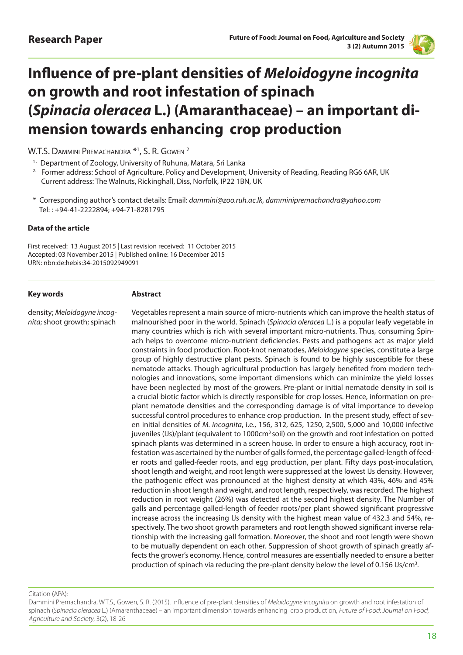

# **Influence of pre-plant densities of** *Meloidogyne incognita*  **on growth and root infestation of spinach (***Spinacia oleracea* **L.) (Amaranthaceae) – an important dimension towards enhancing crop production**

W.T.S. Dammini Premachandra \*<sup>1</sup>, S. R. Gowen<sup>2</sup>

<sup>1.</sup> Department of Zoology, University of Ruhuna, Matara, Sri Lanka

 \* Corresponding author's contact details: Email: *dammini@zoo.ruh.ac.lk, damminipremachandra@yahoo.com* Tel: : +94-41-2222894; +94-71-8281795

#### **Data of the article**

First received: 13 August 2015 | Last revision received: 11 October 2015 Accepted: 03 November 2015 | Published online: 16 December 2015 URN: nbn:de:hebis:34-2015092949091

#### **Key words**

#### **Abstract**

density; *Meloidogyne incognita*; shoot growth; spinach Vegetables represent a main source of micro-nutrients which can improve the health status of malnourished poor in the world. Spinach (*Spinacia oleracea* L.) is a popular leafy vegetable in many countries which is rich with several important micro-nutrients. Thus, consuming Spinach helps to overcome micro-nutrient deficiencies. Pests and pathogens act as major yield constraints in food production. Root-knot nematodes, *Meloidogyne* species, constitute a large group of highly destructive plant pests. Spinach is found to be highly susceptible for these nematode attacks. Though agricultural production has largely benefited from modern technologies and innovations, some important dimensions which can minimize the yield losses have been neglected by most of the growers. Pre-plant or initial nematode density in soil is a crucial biotic factor which is directly responsible for crop losses. Hence, information on preplant nematode densities and the corresponding damage is of vital importance to develop successful control procedures to enhance crop production. In the present study, effect of seven initial densities of *M. incognita*, i.e., 156, 312, 625, 1250, 2,500, 5,000 and 10,000 infective juveniles (IJs)/plant (equivalent to 1000 $\text{cm}^3$  soil) on the growth and root infestation on potted spinach plants was determined in a screen house. In order to ensure a high accuracy, root infestation was ascertained by the number of galls formed, the percentage galled-length of feeder roots and galled-feeder roots, and egg production, per plant. Fifty days post-inoculation, shoot length and weight, and root length were suppressed at the lowest IJs density. However, the pathogenic effect was pronounced at the highest density at which 43%, 46% and 45% reduction in shoot length and weight, and root length, respectively, was recorded. The highest reduction in root weight (26%) was detected at the second highest density. The Number of galls and percentage galled-length of feeder roots/per plant showed significant progressive increase across the increasing IJs density with the highest mean value of 432.3 and 54%, respectively. The two shoot growth parameters and root length showed significant inverse relationship with the increasing gall formation. Moreover, the shoot and root length were shown to be mutually dependent on each other. Suppression of shoot growth of spinach greatly affects the grower's economy. Hence, control measures are essentially needed to ensure a better production of spinach via reducing the pre-plant density below the level of 0.156 IJs/cm<sup>3</sup>.

Citation (APA):

Dammini Premachandra, W.T.S., Gowen, S. R. (2015). Influence of pre-plant densities of *Meloidogyne incognita* on growth and root infestation of spinach (*Spinacia oleracea* L.) (Amaranthaceae) – an important dimension towards enhancing crop production, Future of Food: Journal on Food, Agriculture and Society, 3(2), 18-26

<sup>&</sup>lt;sup>2</sup>. Former address: School of Agriculture, Policy and Development, University of Reading, Reading RG6 6AR, UK Current address: The Walnuts, Rickinghall, Diss, Norfolk, IP22 1BN, UK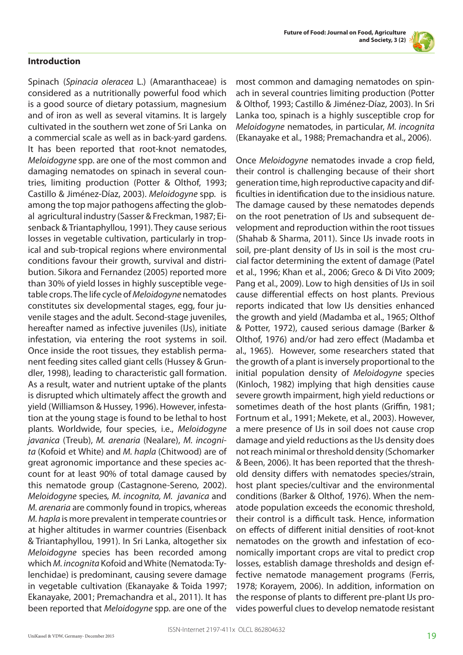Spinach (*Spinacia oleracea* L.) (Amaranthaceae) is considered as a nutritionally powerful food which is a good source of dietary potassium, magnesium and of iron as well as several vitamins. It is largely cultivated in the southern wet zone of Sri Lanka on a commercial scale as well as in back-yard gardens. It has been reported that root-knot nematodes, *Meloidogyne* spp. are one of the most common and damaging nematodes on spinach in several countries, limiting production (Potter & Olthof, 1993; Castillo & Jiménez-Díaz, 2003). *Meloidogyne* spp. is among the top major pathogens affecting the global agricultural industry (Sasser & Freckman, 1987; Eisenback & Triantaphyllou, 1991). They cause serious losses in vegetable cultivation, particularly in tropical and sub-tropical regions where environmental conditions favour their growth, survival and distribution. Sikora and Fernandez (2005) reported more than 30% of yield losses in highly susceptible vegetable crops. The life cycle of *Meloidogyne* nematodes constitutes six developmental stages, egg, four juvenile stages and the adult. Second-stage juveniles, hereafter named as infective juveniles (IJs), initiate infestation, via entering the root systems in soil. Once inside the root tissues, they establish permanent feeding sites called giant cells (Hussey & Grundler, 1998), leading to characteristic gall formation. As a result, water and nutrient uptake of the plants is disrupted which ultimately affect the growth and yield (Williamson & Hussey, 1996). However, infestation at the young stage is found to be lethal to host plants. Worldwide, four species, i.e., *Meloidogyne javanica* (Treub), *M. arenaria* (Nealare), *M. incognita* (Kofoid et White) and *M. hapla* (Chitwood) are of great agronomic importance and these species account for at least 90% of total damage caused by this nematode group (Castagnone-Sereno, 2002). *Meloidogyne* species*, M. incognita, M. javanica* and *M. arenaria* are commonly found in tropics, whereas *M. hapla* is more prevalent in temperate countries or at higher altitudes in warmer countries (Eisenback & Triantaphyllou, 1991). In Sri Lanka, altogether six *Meloidogyne* species has been recorded among which *M. incognita* Kofoid and White (Nematoda: Tylenchidae) is predominant, causing severe damage in vegetable cultivation (Ekanayake & Toida 1997; Ekanayake, 2001; Premachandra et al., 2011). It has been reported that *Meloidogyne* spp. are one of the

most common and damaging nematodes on spinach in several countries limiting production (Potter & Olthof, 1993; Castillo & Jiménez-Díaz, 2003). In Sri Lanka too, spinach is a highly susceptible crop for *Meloidogyne* nematodes, in particular, *M. incognita*  (Ekanayake et al., 1988; Premachandra et al., 2006).

Once *Meloidogyne* nematodes invade a crop field, their control is challenging because of their short generation time, high reproductive capacity and difficulties in identification due to the insidious nature. The damage caused by these nematodes depends on the root penetration of IJs and subsequent development and reproduction within the root tissues (Shahab & Sharma, 2011). Since IJs invade roots in soil, pre-plant density of IJs in soil is the most crucial factor determining the extent of damage (Patel et al., 1996; Khan et al., 2006; Greco & Di Vito 2009; Pang et al., 2009). Low to high densities of IJs in soil cause differential effects on host plants. Previous reports indicated that low IJs densities enhanced the growth and yield (Madamba et al., 1965; Olthof & Potter, 1972), caused serious damage (Barker & Olthof, 1976) and/or had zero effect (Madamba et al., 1965). However, some researchers stated that the growth of a plant is inversely proportional to the initial population density of *Meloidogyne* species (Kinloch, 1982) implying that high densities cause severe growth impairment, high yield reductions or sometimes death of the host plants (Griffin, 1981; Fortnum et al., 1991; Mekete, et al., 2003). However, a mere presence of IJs in soil does not cause crop damage and yield reductions as the IJs density does not reach minimal or threshold density (Schomarker & Been, 2006). It has been reported that the threshold density differs with nematodes species/strain, host plant species/cultivar and the environmental conditions (Barker & Olthof, 1976). When the nematode population exceeds the economic threshold, their control is a difficult task. Hence, information on effects of different initial densities of root-knot nematodes on the growth and infestation of economically important crops are vital to predict crop losses, establish damage thresholds and design effective nematode management programs (Ferris, 1978; Korayem, 2006). In addition, information on the response of plants to different pre-plant IJs provides powerful clues to develop nematode resistant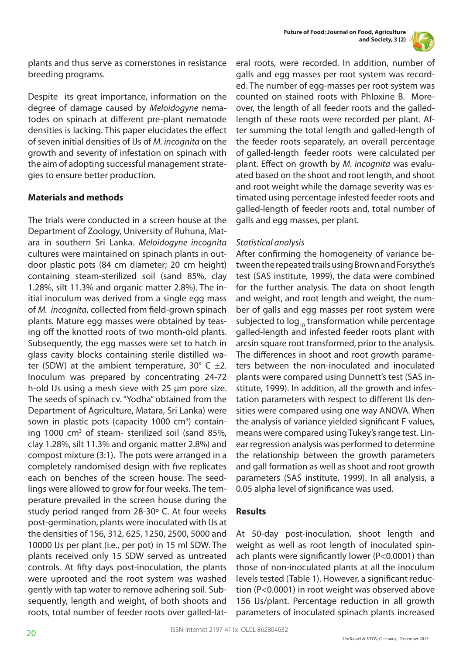



plants and thus serve as cornerstones in resistance breeding programs.

Despite its great importance, information on the degree of damage caused by *Meloidogyne* nematodes on spinach at different pre-plant nematode densities is lacking. This paper elucidates the effect of seven initial densities of IJs of *M. incognita* on the growth and severity of infestation on spinach with the aim of adopting successful management strategies to ensure better production.

#### **Materials and methods**

The trials were conducted in a screen house at the Department of Zoology, University of Ruhuna, Matara in southern Sri Lanka. *Meloidogyne incognita* cultures were maintained on spinach plants in outdoor plastic pots (84 cm diameter; 20 cm height) containing steam-sterilized soil (sand 85%, clay 1.28%, silt 11.3% and organic matter 2.8%). The initial inoculum was derived from a single egg mass of *M. incognita*, collected from field-grown spinach plants. Mature egg masses were obtained by teasing off the knotted roots of two month-old plants. Subsequently, the egg masses were set to hatch in glass cavity blocks containing sterile distilled water (SDW) at the ambient temperature,  $30^{\circ}$  C  $\pm$ 2. Inoculum was prepared by concentrating 24-72 h-old IJs using a mesh sieve with 25 μm pore size. The seeds of spinach cv. "Yodha" obtained from the Department of Agriculture, Matara, Sri Lanka) were sown in plastic pots (capacity 1000 cm<sup>3</sup>) containing 1000 cm<sup>3</sup> of steam- sterilized soil (sand 85%, clay 1.28%, silt 11.3% and organic matter 2.8%) and compost mixture (3:1). The pots were arranged in a completely randomised design with five replicates each on benches of the screen house. The seedlings were allowed to grow for four weeks. The temperature prevailed in the screen house during the study period ranged from 28-30º C. At four weeks post-germination, plants were inoculated with IJs at the densities of 156, 312, 625, 1250, 2500, 5000 and 10000 IJs per plant (i.e., per pot) in 15 ml SDW. The plants received only 15 SDW served as untreated controls. At fifty days post-inoculation, the plants were uprooted and the root system was washed gently with tap water to remove adhering soil. Subsequently, length and weight, of both shoots and roots, total number of feeder roots over galled-lateral roots, were recorded. In addition, number of galls and egg masses per root system was recorded. The number of egg-masses per root system was counted on stained roots with Phloxine B. Moreover, the length of all feeder roots and the galledlength of these roots were recorded per plant. After summing the total length and galled-length of the feeder roots separately, an overall percentage of galled-length feeder roots were calculated per plant. Effect on growth by *M. incognita* was evaluated based on the shoot and root length, and shoot and root weight while the damage severity was estimated using percentage infested feeder roots and galled-length of feeder roots and, total number of galls and egg masses, per plant.

#### *Statistical analysis*

After confirming the homogeneity of variance between the repeated trails using Brown and Forsythe's test (SAS institute, 1999), the data were combined for the further analysis. The data on shoot length and weight, and root length and weight, the number of galls and egg masses per root system were subjected to  $log_{10}$  transformation while percentage galled-length and infested feeder roots plant with arcsin square root transformed, prior to the analysis. The differences in shoot and root growth parameters between the non-inoculated and inoculated plants were compared using Dunnett's test (SAS institute, 1999). In addition, all the growth and infestation parameters with respect to different IJs densities were compared using one way ANOVA. When the analysis of variance yielded significant F values, means were compared using Tukey's range test. Linear regression analysis was performed to determine the relationship between the growth parameters and gall formation as well as shoot and root growth parameters (SAS institute, 1999). In all analysis, a 0.05 alpha level of significance was used.

## **Results**

At 50-day post-inoculation, shoot length and weight as well as root length of inoculated spinach plants were significantly lower (P<0.0001) than those of non-inoculated plants at all the inoculum levels tested (Table 1). However, a significant reduction (P<0.0001) in root weight was observed above 156 IJs/plant. Percentage reduction in all growth parameters of inoculated spinach plants increased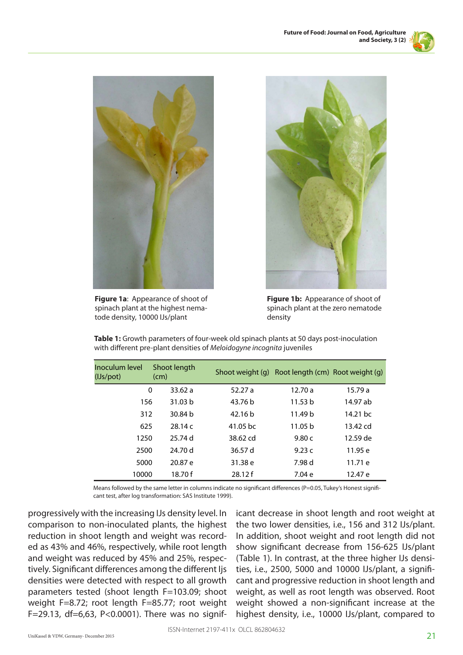



**Figure 1a**: Appearance of shoot of spinach plant at the highest nematode density, 10000 IJs/plant



**Figure 1b:** Appearance of shoot of spinach plant at the zero nematode density

| Inoculum level<br>(IJs/pot) | Shoot length<br>(cm) |          | Shoot weight (g) Root length (cm) Root weight (g) |            |
|-----------------------------|----------------------|----------|---------------------------------------------------|------------|
|                             | 0<br>33.62a          | 52.27a   | 12.70a                                            | 15.79a     |
| 156                         | 31.03 b              | 43.76 b  | 11.53 <sub>b</sub>                                | 14.97 ab   |
| 312                         | 30.84 b              | 42.16 h  | 11.49 h                                           | 14.21 bc   |
| 625                         | 28.14c               | 41.05 bc | 11.05 b                                           | 13.42 cd   |
| 1250                        | 25.74 d              | 38.62 cd | 9.80 $c$                                          | $12.59$ de |
| 2500                        | 24.70 d              | 36.57 d  | 9.23 $c$                                          | 11.95 e    |
| 5000                        | 20.87 e              | 31.38 e  | 7.98 d                                            | 11.71 e    |
| 10000                       | 18.70 f              | 28.12 f  | 7.04 e                                            | 12.47 e    |

**Table 1:** Growth parameters of four-week old spinach plants at 50 days post-inoculation with different pre-plant densities of *Meloidogyne incognita* juveniles

Means followed by the same letter in columns indicate no significant differences (P=0.05, Tukey's Honest significant test, after log transformation: SAS Institute 1999).

progressively with the increasing IJs density level. In comparison to non-inoculated plants, the highest reduction in shoot length and weight was recorded as 43% and 46%, respectively, while root length and weight was reduced by 45% and 25%, respectively. Significant differences among the different Ijs densities were detected with respect to all growth parameters tested (shoot length F=103.09; shoot weight F=8.72; root length F=85.77; root weight F=29.13, df=6,63, P<0.0001). There was no significant decrease in shoot length and root weight at the two lower densities, i.e., 156 and 312 IJs/plant. In addition, shoot weight and root length did not show significant decrease from 156-625 IJs/plant (Table 1). In contrast, at the three higher IJs densities, i.e., 2500, 5000 and 10000 IJs/plant, a significant and progressive reduction in shoot length and weight, as well as root length was observed. Root weight showed a non-significant increase at the highest density, i.e., 10000 IJs/plant, compared to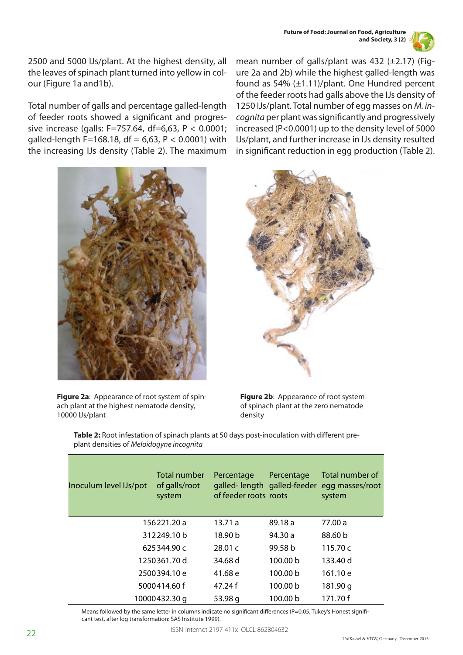

mean number of galls/plant was 432  $(\pm 2.17)$  (Figure 2a and 2b) while the highest galled-length was found as 54% (±1.11)/plant. One Hundred percent of the feeder roots had galls above the IJs density of

2500 and 5000 IJs/plant. At the highest density, all the leaves of spinach plant turned into yellow in colour (Figure 1a and1b).

Total number of galls and percentage galled-length of feeder roots showed a significant and progressive increase (galls: F=757.64, df=6,63, P < 0.0001; galled-length F=168.18, df =  $6,63$ , P < 0.0001) with the increasing IJs density (Table 2). The maximum

**Figure 2a**: Appearance of root system of spinach plant at the highest nematode density, 10000 IJs/plant

1250 IJs/plant. Total number of egg masses on *M. incognita* per plant was significantly and progressively increased (P<0.0001) up to the density level of 5000 IJs/plant, and further increase in IJs density resulted in significant reduction in egg production (Table 2).

**Figure 2b**: Appearance of root system of spinach plant at the zero nematode density

**Table 2:** Root infestation of spinach plants at 50 days post-inoculation with different preplant densities of *Meloidogyne incognita*

| Inoculum level IJs/pot | Total number<br>of galls/root<br>system | Percentage<br>galled-length galled-feeder<br>of feeder roots roots | Percentage         | Total number of<br>egg masses/root<br>system |
|------------------------|-----------------------------------------|--------------------------------------------------------------------|--------------------|----------------------------------------------|
|                        | 156221.20 a                             | 13.71a                                                             | 89.18a             | 77.00 a                                      |
|                        | 312249.10 b                             | 18.90 <sub>b</sub>                                                 | 94.30a             | 88.60 b                                      |
|                        | 625344.90 c                             | 28.01c                                                             | 99.58 <sub>b</sub> | 115.70 c                                     |
|                        | 1250361.70 d                            | 34.68 d                                                            | 100.00 b           | 133.40 d                                     |
| 2500394.10 e           |                                         | 41.68 e                                                            | 100.00 b           | 161.10 e                                     |
| 5000414.60 f           |                                         | 47.24 f                                                            | 100.00 b           | 181.90 g                                     |
|                        | 10000432.30 q                           | 53.98 g                                                            | 100.00 b           | 171.70 f                                     |

Means followed by the same letter in columns indicate no significant differences (P=0.05, Tukey's Honest significant test, after log transformation: SAS Institute 1999).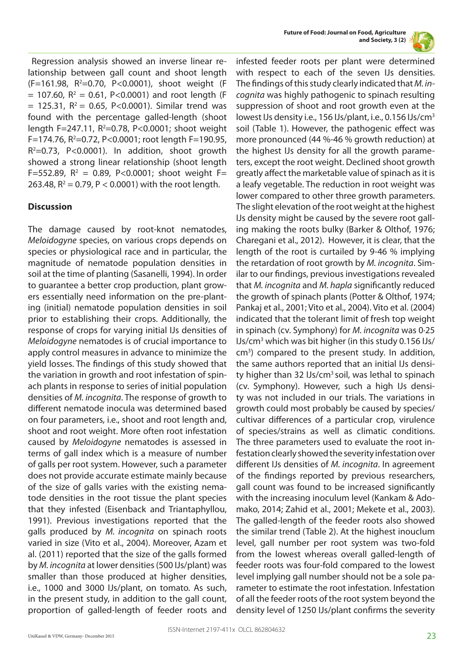



 Regression analysis showed an inverse linear relationship between gall count and shoot length (F=161.98, R<sup>2</sup>=0.70, P<0.0001), shoot weight (F  $= 107.60$ , R<sup>2</sup> = 0.61, P<0.0001) and root length (F  $= 125.31$ , R<sup>2</sup> = 0.65, P<0.0001). Similar trend was found with the percentage galled-length (shoot length F=247.11,  $R^2 = 0.78$ , P<0.0001; shoot weight F=174.76, R<sup>2</sup>=0.72, P<0.0001; root length F=190.95,  $R^2 = 0.73$ , P<0.0001). In addition, shoot growth showed a strong linear relationship (shoot length F=552.89,  $R^2 = 0.89$ , P<0.0001; shoot weight F= 263.48,  $R^2 = 0.79$ , P < 0.0001) with the root length.

## **Discussion**

The damage caused by root-knot nematodes, *Meloidogyne* species, on various crops depends on species or physiological race and in particular, the magnitude of nematode population densities in soil at the time of planting (Sasanelli, 1994). In order to guarantee a better crop production, plant growers essentially need information on the pre-planting (initial) nematode population densities in soil prior to establishing their crops. Additionally, the response of crops for varying initial IJs densities of *Meloidogyne* nematodes is of crucial importance to apply control measures in advance to minimize the yield losses. The findings of this study showed that the variation in growth and root infestation of spinach plants in response to series of initial population densities of *M. incognita*. The response of growth to different nematode inocula was determined based on four parameters, i.e., shoot and root length and, shoot and root weight. More often root infestation caused by *Meloidogyne* nematodes is assessed in terms of gall index which is a measure of number of galls per root system. However, such a parameter does not provide accurate estimate mainly because of the size of galls varies with the existing nematode densities in the root tissue the plant species that they infested (Eisenback and Triantaphyllou, 1991). Previous investigations reported that the galls produced by *M. incognita* on spinach roots varied in size (Vito et al., 2004). Moreover, Azam et al. (2011) reported that the size of the galls formed by *M. incognita* at lower densities (500 IJs/plant) was smaller than those produced at higher densities, i.e., 1000 and 3000 IJs/plant, on tomato. As such, in the present study, in addition to the gall count, proportion of galled-length of feeder roots and

infested feeder roots per plant were determined with respect to each of the seven IJs densities. The findings of this study clearly indicated that *M. incognita* was highly pathogenic to spinach resulting suppression of shoot and root growth even at the lowest IJs density i.e., 156 IJs/plant, i.e., 0.156 IJs/cm<sup>3</sup> soil (Table 1). However, the pathogenic effect was more pronounced (44 %-46 % growth reduction) at the highest IJs density for all the growth parameters, except the root weight. Declined shoot growth greatly affect the marketable value of spinach as it is a leafy vegetable. The reduction in root weight was lower compared to other three growth parameters. The slight elevation of the root weight at the highest IJs density might be caused by the severe root galling making the roots bulky (Barker & Olthof, 1976; Charegani et al., 2012). However, it is clear, that the length of the root is curtailed by 9-46 % implying the retardation of root growth by *M. incognita*. Similar to our findings, previous investigations revealed that *M. incognita* and *M. hapla* significantly reduced the growth of spinach plants (Potter & Olthof, 1974; Pankaj et al., 2001; Vito et al., 2004). Vito et al. (2004) indicated that the tolerant limit of fresh top weight in spinach (cv. Symphony) for *M. incognita* was 0·25 IJs/cm<sup>3</sup> which was bit higher (in this study 0.156 IJs/ cm<sup>3</sup>) compared to the present study. In addition, the same authors reported that an initial IJs density higher than 32  $Us/cm<sup>3</sup>$  soil, was lethal to spinach (cv. Symphony). However, such a high IJs density was not included in our trials. The variations in growth could most probably be caused by species/ cultivar differences of a particular crop, virulence of species/strains as well as climatic conditions. The three parameters used to evaluate the root infestation clearly showed the severity infestation over different IJs densities of *M. incognita*. In agreement of the findings reported by previous researchers, gall count was found to be increased significantly with the increasing inoculum level (Kankam & Adomako, 2014; Zahid et al., 2001; Mekete et al., 2003). The galled-length of the feeder roots also showed the similar trend (Table 2). At the highest inouclum level, gall number per root system was two-fold from the lowest whereas overall galled-length of feeder roots was four-fold compared to the lowest level implying gall number should not be a sole parameter to estimate the root infestation. Infestation of all the feeder roots of the root system beyond the density level of 1250 IJs/plant confirms the severity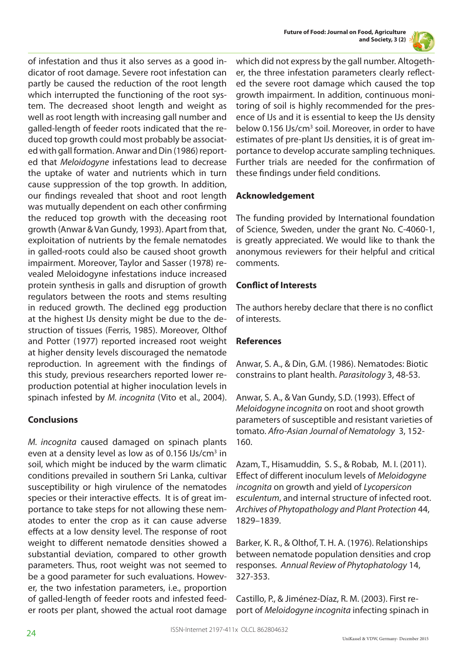

of infestation and thus it also serves as a good indicator of root damage. Severe root infestation can partly be caused the reduction of the root length which interrupted the functioning of the root system. The decreased shoot length and weight as well as root length with increasing gall number and galled-length of feeder roots indicated that the reduced top growth could most probably be associated with gall formation. Anwar and Din (1986) reported that *Meloidogyne* infestations lead to decrease the uptake of water and nutrients which in turn cause suppression of the top growth. In addition, our findings revealed that shoot and root length was mutually dependent on each other confirming the reduced top growth with the deceasing root growth (Anwar & Van Gundy, 1993). Apart from that, exploitation of nutrients by the female nematodes in galled-roots could also be caused shoot growth impairment. Moreover, Taylor and Sasser (1978) revealed Meloidogyne infestations induce increased protein synthesis in galls and disruption of growth regulators between the roots and stems resulting in reduced growth. The declined egg production at the highest IJs density might be due to the destruction of tissues (Ferris, 1985). Moreover, Olthof and Potter (1977) reported increased root weight at higher density levels discouraged the nematode reproduction. In agreement with the findings of this study, previous researchers reported lower reproduction potential at higher inoculation levels in spinach infested by *M. incognita* (Vito et al., 2004).

## **Conclusions**

*M. incognita* caused damaged on spinach plants even at a density level as low as of 0.156 IJs/cm<sup>3</sup> in soil, which might be induced by the warm climatic conditions prevailed in southern Sri Lanka, cultivar susceptibility or high virulence of the nematodes species or their interactive effects. It is of great importance to take steps for not allowing these nematodes to enter the crop as it can cause adverse effects at a low density level. The response of root weight to different nematode densities showed a substantial deviation, compared to other growth parameters. Thus, root weight was not seemed to be a good parameter for such evaluations. However, the two infestation parameters, i.e., proportion of galled-length of feeder roots and infested feeder roots per plant, showed the actual root damage

which did not express by the gall number. Altogether, the three infestation parameters clearly reflected the severe root damage which caused the top growth impairment. In addition, continuous monitoring of soil is highly recommended for the presence of IJs and it is essential to keep the IJs density below 0.156 IJs/cm<sup>3</sup> soil. Moreover, in order to have estimates of pre-plant IJs densities, it is of great importance to develop accurate sampling techniques. Further trials are needed for the confirmation of these findings under field conditions.

## **Acknowledgement**

The funding provided by International foundation of Science, Sweden, under the grant No. C-4060-1, is greatly appreciated. We would like to thank the anonymous reviewers for their helpful and critical comments.

# **Conflict of Interests**

The authors hereby declare that there is no conflict of interests.

# **References**

Anwar, S. A., & Din, G.M. (1986). Nematodes: Biotic constrains to plant health. *Parasitology* 3, 48-53.

Anwar, S. A., & Van Gundy, S.D. (1993). Effect of *Meloidogyne incognita* on root and shoot growth parameters of susceptible and resistant varieties of tomato. *Afro-Asian Journal of Nematology* 3, 152- 160.

Azam, T., Hisamuddin, S. S., & Robab, M. I. (2011). Effect of different inoculum levels of *Meloidogyne incognita* on growth and yield of *Lycopersicon esculentum*, and internal structure of infected root. *Archives of Phytopathology and Plant Protection* 44, 1829–1839.

Barker, K. R., & Olthof, T. H. A. (1976). Relationships between nematode population densities and crop responses. *Annual Review of Phytophatology* 14, 327-353.

Castillo, P., & Jiménez-Díaz, R. M. (2003). First report of *Meloidogyne incognita* infecting spinach in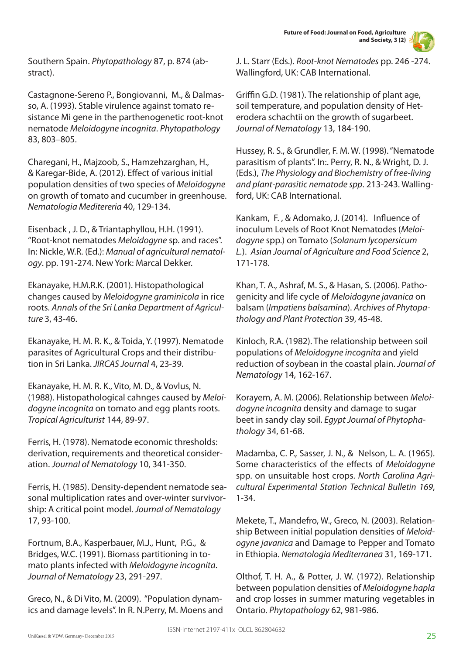

Southern Spain. *Phytopathology* 87, p. 874 (abstract).

Castagnone-Sereno P., Bongiovanni, M., & Dalmasso, A. (1993). Stable virulence against tomato resistance Mi gene in the parthenogenetic root-knot nematode *Meloidogyne incognita*. *Phytopathology*  83, 803–805.

Charegani, H., Majzoob, S., Hamzehzarghan, H., & Karegar-Bide, A. (2012). Effect of various initial population densities of two species of *Meloidogyne* on growth of tomato and cucumber in greenhouse. *Nematologia Meditereria* 40, 129-134.

Eisenback , J. D., & Triantaphyllou, H.H. (1991). "Root-knot nematodes *Meloidogyne* sp. and races". In: Nickle, W.R. (Ed.): *Manual of agricultural nematology*. pp. 191-274. New York: Marcal Dekker.

Ekanayake, H.M.R.K. (2001). Histopathological changes caused by *Meloidogyne graminicola* in rice roots. *Annals of the Sri Lanka Department of Agriculture* 3, 43-46.

Ekanayake, H. M. R. K., & Toida, Y. (1997). Nematode parasites of Agricultural Crops and their distribution in Sri Lanka. *JIRCAS Journal* 4, 23-39.

Ekanayake, H. M. R. K., Vito, M. D., & Vovlus, N. (1988). Histopathological cahnges caused by *Meloidogyne incognita* on tomato and egg plants roots. *Tropical Agriculturist* 144, 89-97.

Ferris, H. (1978). Nematode economic thresholds: derivation, requirements and theoretical consideration. *Journal of Nematology* 10, 341-350.

Ferris, H. (1985). Density-dependent nematode seasonal multiplication rates and over-winter survivorship: A critical point model. *Journal of Nematology* 17, 93-100.

Fortnum, B.A., Kasperbauer, M.J., Hunt, P.G., & Bridges, W.C. (1991). Biomass partitioning in tomato plants infected with *Meloidogyne incognita*. *Journal of Nematology* 23, 291-297.

Greco, N., & Di Vito, M. (2009). "Population dynamics and damage levels". In R. N.Perry, M. Moens and J. L. Starr (Eds.). *Root-knot Nematodes* pp. 246 -274. Wallingford, UK: CAB International.

Griffin G.D. (1981). The relationship of plant age, soil temperature, and population density of Heterodera schachtii on the growth of sugarbeet. *Journal of Nematology* 13, 184-190.

Hussey, R. S., & Grundler, F. M. W. (1998). "Nematode parasitism of plants". In:. Perry, R. N., & Wright, D. J. (Eds.), *The Physiology and Biochemistry of free-living and plant-parasitic nematode spp*. 213-243. Wallingford, UK: CAB International.

Kankam, F. , & Adomako, J. (2014). Influence of inoculum Levels of Root Knot Nematodes (*Meloidogyne* spp.) on Tomato (*Solanum lycopersicum L.*). *Asian Journal of Agriculture and Food Science* 2, 171-178.

Khan, T. A., Ashraf, M. S., & Hasan, S. (2006). Pathogenicity and life cycle of *Meloidogyne javanica* on balsam (*Impatiens balsamina*). *Archives of Phytopathology and Plant Protection* 39, 45-48.

Kinloch, R.A. (1982). The relationship between soil populations of *Meloidogyne incognita* and yield reduction of soybean in the coastal plain. *Journal of Nematology* 14, 162-167.

Korayem, A. M. (2006). Relationship between *Meloidogyne incognita* density and damage to sugar beet in sandy clay soil. *Egypt Journal of Phytophathology* 34, 61-68.

Madamba, C. P., Sasser, J. N., & Nelson, L. A. (1965). Some characteristics of the effects of *Meloidogyne* spp. on unsuitable host crops. *North Carolina Agricultural Experimental Station Technical Bulletin 169*, 1-34.

Mekete, T., Mandefro, W., Greco, N. (2003). Relationship Between initial population densities of *Meloidogyne javanica* and Damage to Pepper and Tomato in Ethiopia. *Nematologia Mediterranea* 31, 169-171.

Olthof, T. H. A., & Potter, J. W. (1972). Relationship between population densities of *Meloidogyne hapla* and crop losses in summer maturing vegetables in Ontario. *Phytopathology* 62, 981-986.